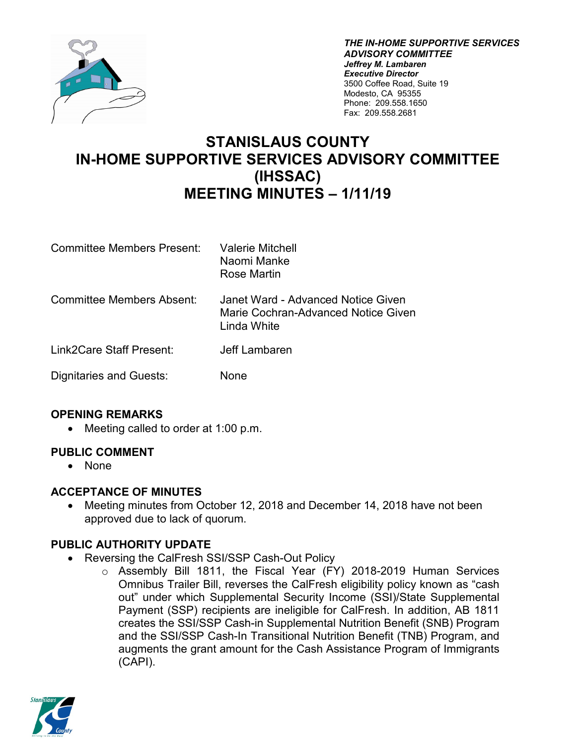

*THE IN-HOME SUPPORTIVE SERVICES ADVISORY COMMITTEE Jeffrey M. Lambaren Executive Director* 3500 Coffee Road, Suite 19 Modesto, CA 95355 Phone: 209.558.1650 Fax: 209.558.2681

# **STANISLAUS COUNTY IN-HOME SUPPORTIVE SERVICES ADVISORY COMMITTEE (IHSSAC) MEETING MINUTES – 1/11/19**

| <b>Committee Members Present:</b> | <b>Valerie Mitchell</b><br>Naomi Manke<br>Rose Martin                                    |
|-----------------------------------|------------------------------------------------------------------------------------------|
| Committee Members Absent:         | Janet Ward - Advanced Notice Given<br>Marie Cochran-Advanced Notice Given<br>Linda White |
| Link2Care Staff Present:          | Jeff Lambaren                                                                            |
| Dignitaries and Guests:           | None                                                                                     |

### **OPENING REMARKS**

• Meeting called to order at 1:00 p.m.

### **PUBLIC COMMENT**

• None

### **ACCEPTANCE OF MINUTES**

• Meeting minutes from October 12, 2018 and December 14, 2018 have not been approved due to lack of quorum.

### **PUBLIC AUTHORITY UPDATE**

- Reversing the CalFresh SSI/SSP Cash-Out Policy
	- o Assembly Bill 1811, the Fiscal Year (FY) 2018-2019 Human Services Omnibus Trailer Bill, reverses the CalFresh eligibility policy known as "cash out" under which Supplemental Security Income (SSI)/State Supplemental Payment (SSP) recipients are ineligible for CalFresh. In addition, AB 1811 creates the SSI/SSP Cash-in Supplemental Nutrition Benefit (SNB) Program and the SSI/SSP Cash-In Transitional Nutrition Benefit (TNB) Program, and augments the grant amount for the Cash Assistance Program of Immigrants (CAPI).

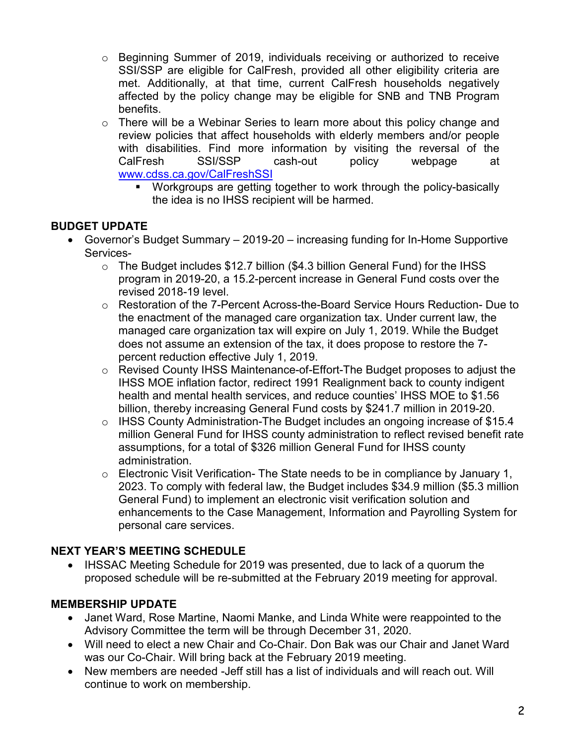- o Beginning Summer of 2019, individuals receiving or authorized to receive SSI/SSP are eligible for CalFresh, provided all other eligibility criteria are met. Additionally, at that time, current CalFresh households negatively affected by the policy change may be eligible for SNB and TNB Program benefits.
- $\circ$  There will be a Webinar Series to learn more about this policy change and review policies that affect households with elderly members and/or people with disabilities. Find more information by visiting the reversal of the CalFresh SSI/SSP cash-out policy webpage at [www.cdss.ca.gov/CalFreshSSI](http://www.cdss.ca.gov/CalFreshSSI)
	- Workgroups are getting together to work through the policy-basically the idea is no IHSS recipient will be harmed.

## **BUDGET UPDATE**

- Governor's Budget Summary 2019-20 increasing funding for In-Home Supportive Services
	- o The Budget includes \$12.7 billion (\$4.3 billion General Fund) for the IHSS program in 2019-20, a 15.2-percent increase in General Fund costs over the revised 2018-19 level.
	- o Restoration of the 7-Percent Across-the-Board Service Hours Reduction- Due to the enactment of the managed care organization tax. Under current law, the managed care organization tax will expire on July 1, 2019. While the Budget does not assume an extension of the tax, it does propose to restore the 7 percent reduction effective July 1, 2019.
	- o Revised County IHSS Maintenance-of-Effort-The Budget proposes to adjust the IHSS MOE inflation factor, redirect 1991 Realignment back to county indigent health and mental health services, and reduce counties' IHSS MOE to \$1.56 billion, thereby increasing General Fund costs by \$241.7 million in 2019-20.
	- o IHSS County Administration-The Budget includes an ongoing increase of \$15.4 million General Fund for IHSS county administration to reflect revised benefit rate assumptions, for a total of \$326 million General Fund for IHSS county administration.
	- $\circ$  Electronic Visit Verification- The State needs to be in compliance by January 1, 2023. To comply with federal law, the Budget includes \$34.9 million (\$5.3 million General Fund) to implement an electronic visit verification solution and enhancements to the Case Management, Information and Payrolling System for personal care services.

### **NEXT YEAR'S MEETING SCHEDULE**

• IHSSAC Meeting Schedule for 2019 was presented, due to lack of a quorum the proposed schedule will be re-submitted at the February 2019 meeting for approval.

### **MEMBERSHIP UPDATE**

- Janet Ward, Rose Martine, Naomi Manke, and Linda White were reappointed to the Advisory Committee the term will be through December 31, 2020.
- Will need to elect a new Chair and Co-Chair. Don Bak was our Chair and Janet Ward was our Co-Chair. Will bring back at the February 2019 meeting.
- New members are needed -Jeff still has a list of individuals and will reach out. Will continue to work on membership.